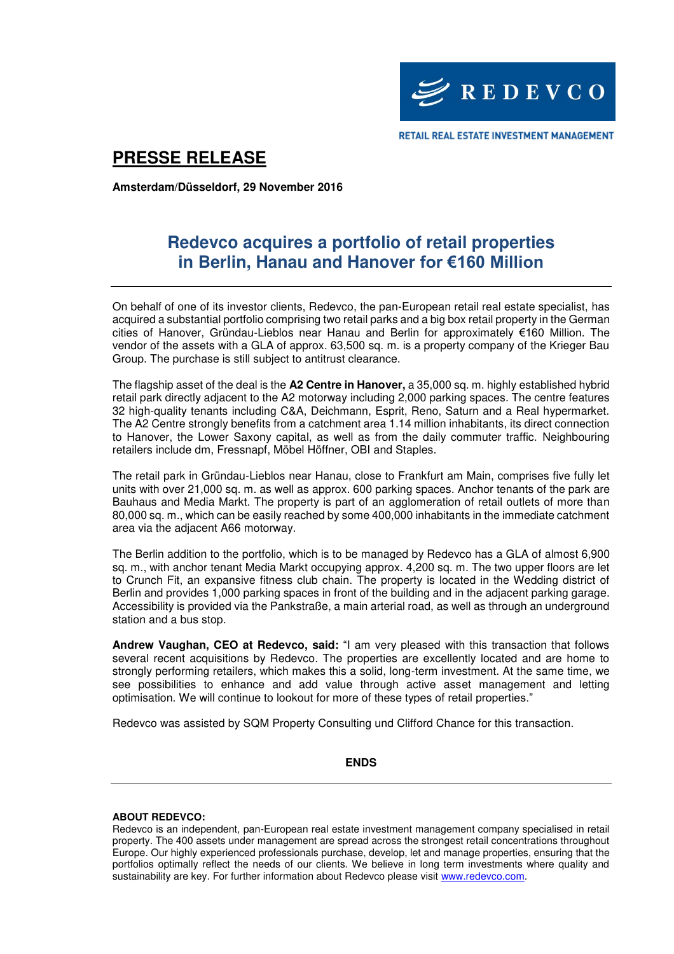

# **PRESSE RELEASE**

**Amsterdam/Düsseldorf, 29 November 2016** 

## **Redevco acquires a portfolio of retail properties in Berlin, Hanau and Hanover for €160 Million**

On behalf of one of its investor clients, Redevco, the pan-European retail real estate specialist, has acquired a substantial portfolio comprising two retail parks and a big box retail property in the German cities of Hanover, Gründau-Lieblos near Hanau and Berlin for approximately €160 Million. The vendor of the assets with a GLA of approx. 63,500 sq. m. is a property company of the Krieger Bau Group. The purchase is still subject to antitrust clearance.

The flagship asset of the deal is the **A2 Centre in Hanover,** a 35,000 sq. m. highly established hybrid retail park directly adjacent to the A2 motorway including 2,000 parking spaces. The centre features 32 high-quality tenants including C&A, Deichmann, Esprit, Reno, Saturn and a Real hypermarket. The A2 Centre strongly benefits from a catchment area 1.14 million inhabitants, its direct connection to Hanover, the Lower Saxony capital, as well as from the daily commuter traffic. Neighbouring retailers include dm, Fressnapf, Möbel Höffner, OBI and Staples.

The retail park in Gründau-Lieblos near Hanau, close to Frankfurt am Main, comprises five fully let units with over 21,000 sq. m. as well as approx. 600 parking spaces. Anchor tenants of the park are Bauhaus and Media Markt. The property is part of an agglomeration of retail outlets of more than 80,000 sq. m., which can be easily reached by some 400,000 inhabitants in the immediate catchment area via the adjacent A66 motorway.

The Berlin addition to the portfolio, which is to be managed by Redevco has a GLA of almost 6,900 sq. m., with anchor tenant Media Markt occupying approx. 4,200 sq. m. The two upper floors are let to Crunch Fit, an expansive fitness club chain. The property is located in the Wedding district of Berlin and provides 1,000 parking spaces in front of the building and in the adjacent parking garage. Accessibility is provided via the Pankstraße, a main arterial road, as well as through an underground station and a bus stop.

**Andrew Vaughan, CEO at Redevco, said:** "I am very pleased with this transaction that follows several recent acquisitions by Redevco. The properties are excellently located and are home to strongly performing retailers, which makes this a solid, long-term investment. At the same time, we see possibilities to enhance and add value through active asset management and letting optimisation. We will continue to lookout for more of these types of retail properties."

Redevco was assisted by SQM Property Consulting und Clifford Chance for this transaction.

### **ENDS**

### **ABOUT REDEVCO:**

Redevco is an independent, pan-European real estate investment management company specialised in retail property. The 400 assets under management are spread across the strongest retail concentrations throughout Europe. Our highly experienced professionals purchase, develop, let and manage properties, ensuring that the portfolios optimally reflect the needs of our clients. We believe in long term investments where quality and sustainability are key. For further information about Redevco please visit [www.redevco.com.](http://www.redevco.com/)